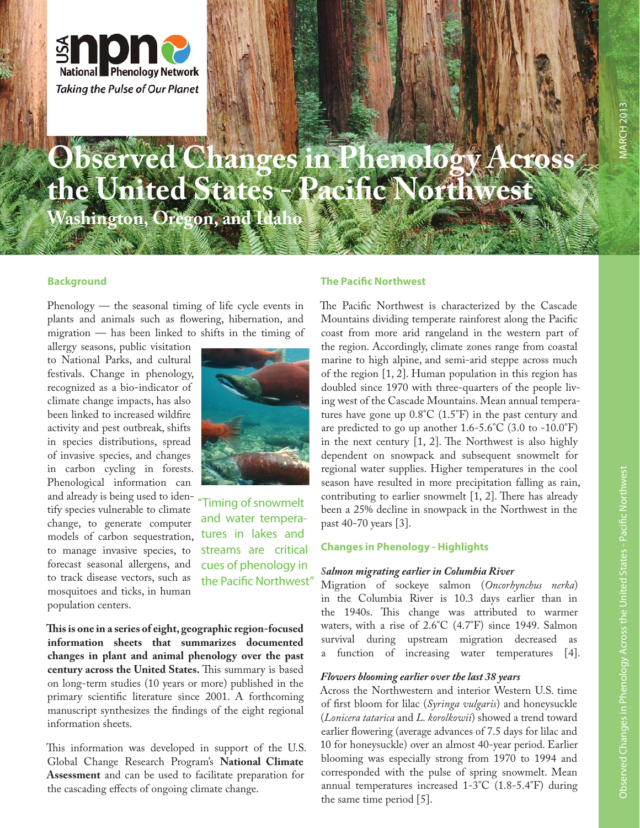

# **Observed Changes in Phenology Across the United States - Pacifi c Northwest Washington, Oregon, and Idaho**

## **Background**

Phenology — the seasonal timing of life cycle events in plants and animals such as flowering, hibernation, and migration — has been linked to shifts in the timing of

allergy seasons, public visitation to National Parks, and cultural festivals. Change in phenology, recognized as a bio-indicator of climate change impacts, has also been linked to increased wildfire activity and pest outbreak, shifts in species distributions, spread of invasive species, and changes in carbon cycling in forests. Phenological information can and already is being used to iden-"Timing of snowmelt tify species vulnerable to climate change, to generate computer models of carbon sequestration, to manage invasive species, to forecast seasonal allergens, and to track disease vectors, such as mosquitoes and ticks, in human population centers.



and water temperatures in lakes and streams are critical cues of phenology in the Pacific Northwest"

**Th is is one in a series of eight, geographic region-focused information sheets that summarizes documented changes in plant and animal phenology over the past century across the United States.** This summary is based on long-term studies (10 years or more) published in the primary scientific literature since 2001. A forthcoming manuscript synthesizes the findings of the eight regional information sheets.

This information was developed in support of the U.S. Global Change Research Program's **National Climate Assessment** and can be used to facilitate preparation for the cascading effects of ongoing climate change.

## **The Pacific Northwest**

The Pacific Northwest is characterized by the Cascade Mountains dividing temperate rainforest along the Pacific coast from more arid rangeland in the western part of the region. Accordingly, climate zones range from coastal marine to high alpine, and semi-arid steppe across much of the region [1, 2]. Human population in this region has doubled since 1970 with three-quarters of the people living west of the Cascade Mountains. Mean annual temperatures have gone up 0.8°C (1.5°F) in the past century and are predicted to go up another  $1.6 - 5.6^{\circ}C$  (3.0 to  $-10.0^{\circ}F$ ) in the next century  $[1, 2]$ . The Northwest is also highly dependent on snowpack and subsequent snowmelt for regional water supplies. Higher temperatures in the cool season have resulted in more precipitation falling as rain, contributing to earlier snowmelt  $[1, 2]$ . There has already been a 25% decline in snowpack in the Northwest in the past 40-70 years [3].

### **Changes in Phenology - Highlights**

#### *Salmon migrating earlier in Columbia River*

Migration of sockeye salmon (*Oncorhynchus nerka*) in the Columbia River is 10.3 days earlier than in the 1940s. This change was attributed to warmer waters, with a rise of 2.6°C (4.7°F) since 1949. Salmon survival during upstream migration decreased as a function of increasing water temperatures [4].

#### *Flowers blooming earlier over the last 38 years*

Across the Northwestern and interior Western U.S. time of first bloom for lilac (*Syringa vulgaris*) and honeysuckle (*Lonicera tatarica* and *L. korolkowii*) showed a trend toward earlier flowering (average advances of 7.5 days for lilac and 10 for honeysuckle) over an almost 40-year period. Earlier blooming was especially strong from 1970 to 1994 and corresponded with the pulse of spring snowmelt. Mean annual temperatures increased 1-3°C (1.8-5.4°F) during the same time period [5].